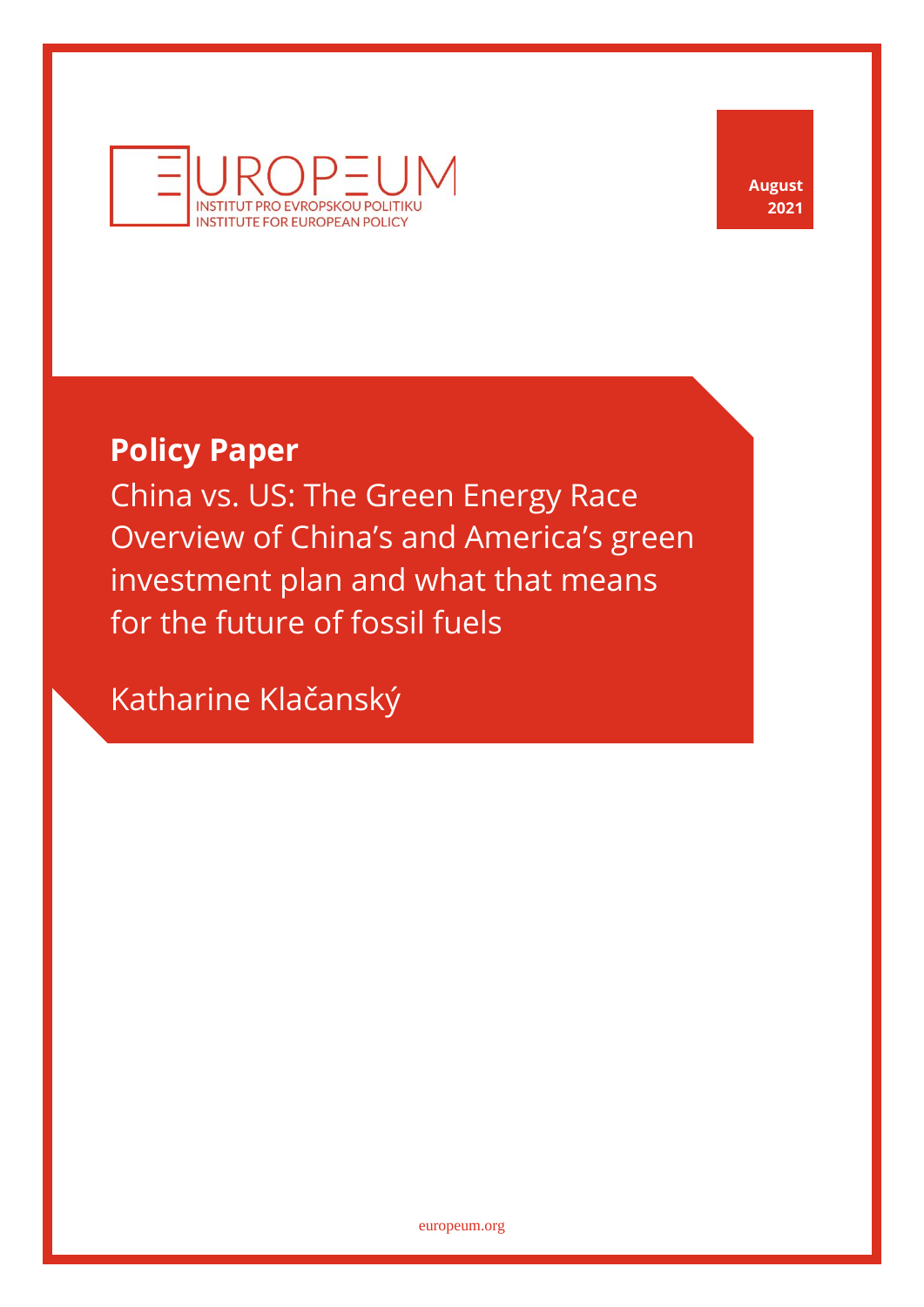

**August 2021**

# **Policy Paper**

China vs. US: The Green Energy Race Overview of China's and America's green investment plan and what that means for the future of fossil fuels

Katharine Klačanský

[europeum.org](https://europeum.org/)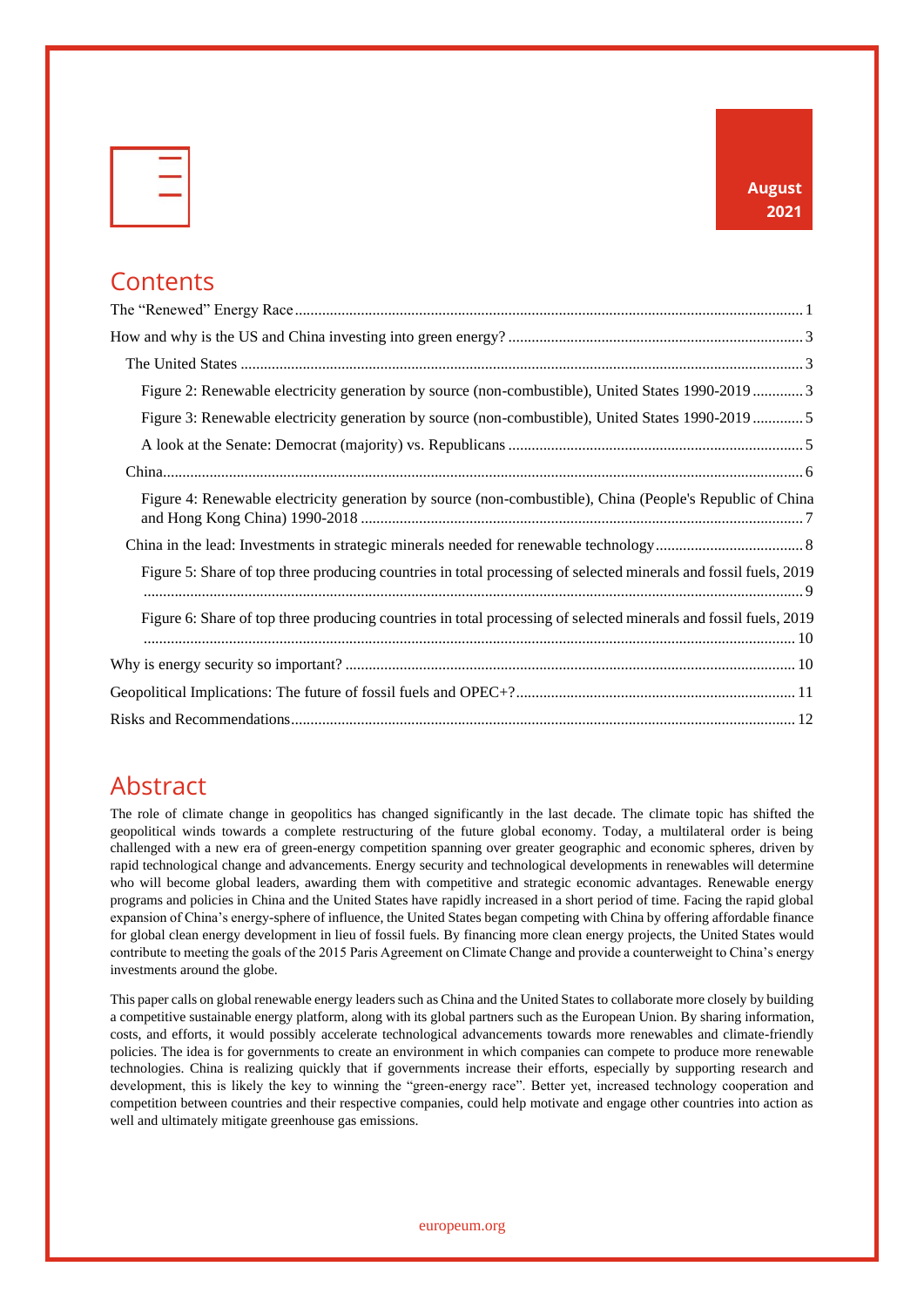|  | -          |
|--|------------|
|  | s.<br>____ |
|  |            |
|  |            |
|  |            |
|  |            |

## **Contents**

| Figure 2: Renewable electricity generation by source (non-combustible), United States 1990-2019  3               |
|------------------------------------------------------------------------------------------------------------------|
| Figure 3: Renewable electricity generation by source (non-combustible), United States 1990-2019  5               |
|                                                                                                                  |
|                                                                                                                  |
| Figure 4: Renewable electricity generation by source (non-combustible), China (People's Republic of China        |
|                                                                                                                  |
| Figure 5: Share of top three producing countries in total processing of selected minerals and fossil fuels, 2019 |
| Figure 6: Share of top three producing countries in total processing of selected minerals and fossil fuels, 2019 |
|                                                                                                                  |
|                                                                                                                  |
|                                                                                                                  |

#### Abstract

The role of climate change in geopolitics has changed significantly in the last decade. The climate topic has shifted the geopolitical winds towards a complete restructuring of the future global economy. Today, a multilateral order is being challenged with a new era of green-energy competition spanning over greater geographic and economic spheres, driven by rapid technological change and advancements. Energy security and technological developments in renewables will determine who will become global leaders, awarding them with competitive and strategic economic advantages. Renewable energy programs and policies in China and the United States have rapidly increased in a short period of time. Facing the rapid global expansion of China's energy-sphere of influence, the United States began competing with China by offering affordable finance for global clean energy development in lieu of fossil fuels. By financing more clean energy projects, the United States would contribute to meeting the goals of the 2015 Paris Agreement on Climate Change and provide a counterweight to China's energy investments around the globe.

This paper calls on global renewable energy leaders such as China and the United States to collaborate more closely by building a competitive sustainable energy platform, along with its global partners such as the European Union. By sharing information, costs, and efforts, it would possibly accelerate technological advancements towards more renewables and climate-friendly policies. The idea is for governments to create an environment in which companies can compete to produce more renewable technologies. China is realizing quickly that if governments increase their efforts, especially by supporting research and development, this is likely the key to winning the "green-energy race". Better yet, increased technology cooperation and competition between countries and their respective companies, could help motivate and engage other countries into action as well and ultimately mitigate greenhouse gas emissions.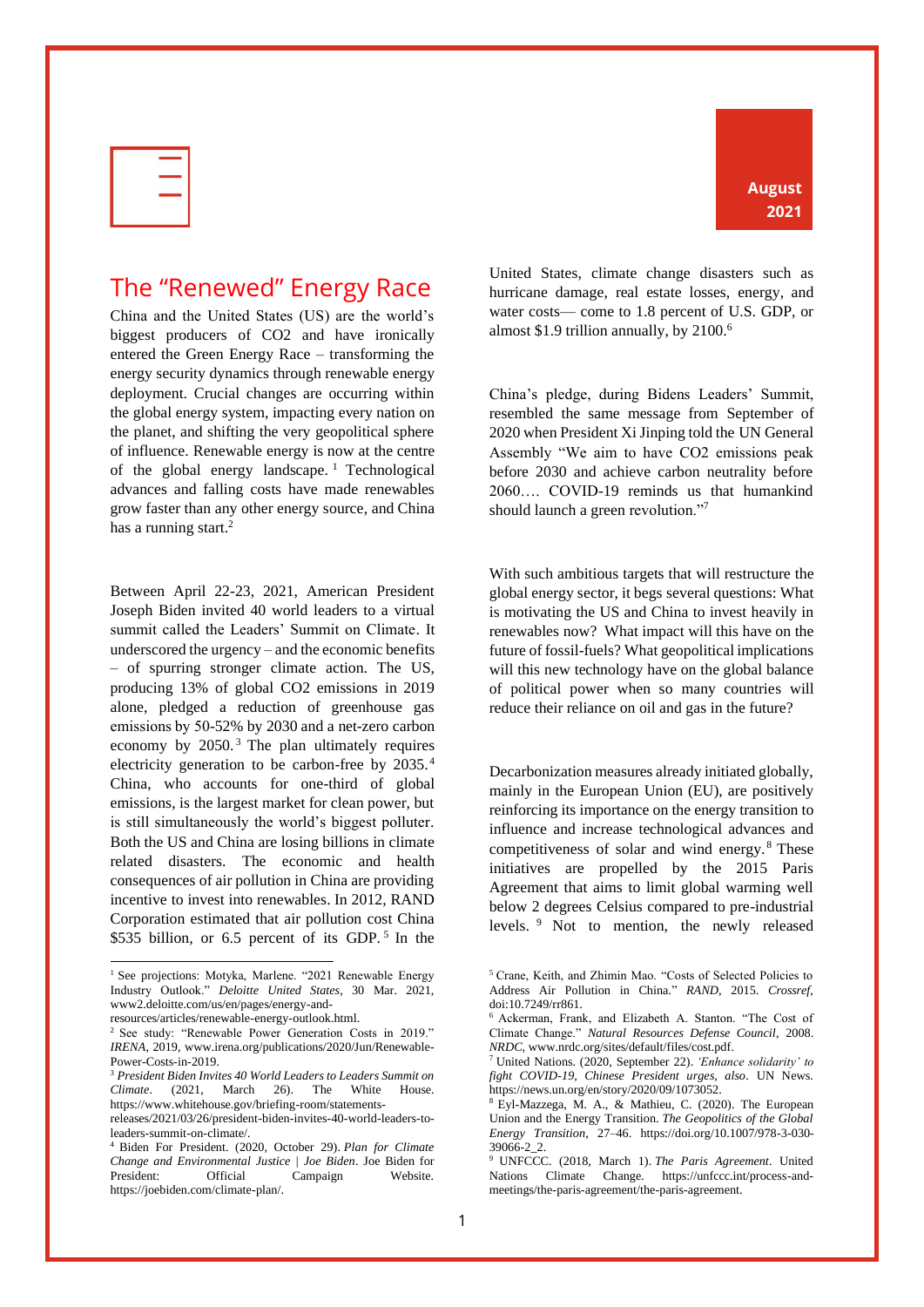| u.<br>____ |
|------------|
|            |
|            |

## <span id="page-2-0"></span>The "Renewed" Energy Race

China and the United States (US) are the world's biggest producers of CO2 and have ironically entered the Green Energy Race – transforming the energy security dynamics through renewable energy deployment. Crucial changes are occurring within the global energy system, impacting every nation on the planet, and shifting the very geopolitical sphere of influence. Renewable energy is now at the centre of the global energy landscape. <sup>1</sup> Technological advances and falling costs have made renewables grow faster than any other energy source, and China has a running start.<sup>2</sup>

Between April 22-23, 2021, American President Joseph Biden invited 40 world leaders to a virtual summit called the Leaders' Summit on Climate. It underscored the urgency – and the economic benefits – of spurring stronger climate action. The US, producing 13% of global CO2 emissions in 2019 alone, pledged a reduction of greenhouse gas emissions by 50-52% by 2030 and a net-zero carbon economy by 2050. <sup>3</sup> The plan ultimately requires electricity generation to be carbon-free by 2035. <sup>4</sup> China, who accounts for one-third of global emissions, is the largest market for clean power, but is still simultaneously the world's biggest polluter. Both the US and China are losing billions in climate related disasters. The economic and health consequences of air pollution in China are providing incentive to invest into renewables. In 2012, RAND Corporation estimated that air pollution cost China  $$535$  billion, or 6.5 percent of its GDP.<sup>5</sup> In the

<sup>3</sup> *President Biden Invites 40 World Leaders to Leaders Summit on Climate*. (2021, March 26). The White House. https://www.whitehouse.gov/briefing-room/statementsreleases/2021/03/26/president-biden-invites-40-world-leaders-toUnited States, climate change disasters such as hurricane damage, real estate losses, energy, and water costs— come to 1.8 percent of U.S. GDP, or almost \$1.9 trillion annually, by 2100.<sup>6</sup>

China's pledge, during Bidens Leaders' Summit, resembled the same message from September of 2020 when President Xi Jinping told the UN General Assembly "We aim to have CO2 emissions peak before 2030 and achieve carbon neutrality before 2060…. COVID-19 reminds us that humankind should launch a green revolution."<sup>7</sup>

With such ambitious targets that will restructure the global energy sector, it begs several questions: What is motivating the US and China to invest heavily in renewables now? What impact will this have on the future of fossil-fuels? What geopolitical implications will this new technology have on the global balance of political power when so many countries will reduce their reliance on oil and gas in the future?

Decarbonization measures already initiated globally, mainly in the European Union (EU), are positively reinforcing its importance on the energy transition to influence and increase technological advances and competitiveness of solar and wind energy. <sup>8</sup> These initiatives are propelled by the 2015 Paris Agreement that aims to limit global warming well below 2 degrees Celsius compared to pre-industrial levels. <sup>9</sup> Not to mention, the newly released

1

<sup>&</sup>lt;sup>1</sup> See projections: Motyka, Marlene. "2021 Renewable Energy Industry Outlook." *Deloitte United States*, 30 Mar. 2021, www2.deloitte.com/us/en/pages/energy-andresources/articles/renewable-energy-outlook.html.

<sup>&</sup>lt;sup>2</sup> See study: "Renewable Power Generation Costs in 2019." *IRENA*, 2019, www.irena.org/publications/2020/Jun/Renewable-Power-Costs-in-2019.

leaders-summit-on-climate/.

<sup>4</sup> Biden For President. (2020, October 29). *Plan for Climate Change and Environmental Justice | Joe Biden*. Joe Biden for President: Official Campaign Website. https://joebiden.com/climate-plan/.

<sup>5</sup> Crane, Keith, and Zhimin Mao. "Costs of Selected Policies to Address Air Pollution in China." *RAND*, 2015. *Crossref*, doi:10.7249/rr861.

<sup>6</sup> Ackerman, Frank, and Elizabeth A. Stanton. "The Cost of Climate Change." *Natural Resources Defense Council*, 2008. *NRDC*, www.nrdc.org/sites/default/files/cost.pdf.

<sup>7</sup> United Nations. (2020, September 22). *'Enhance solidarity' to fight COVID-19, Chinese President urges, also*. UN News. https://news.un.org/en/story/2020/09/1073052.

<sup>8</sup> Eyl-Mazzega, M. A., & Mathieu, C. (2020). The European Union and the Energy Transition. *The Geopolitics of the Global Energy Transition*, 27–46. https://doi.org/10.1007/978-3-030- 39066-2\_2.

<sup>9</sup> UNFCCC. (2018, March 1). *The Paris Agreement*. United Nations Climate Change. https://unfccc.int/process-andmeetings/the-paris-agreement/the-paris-agreement.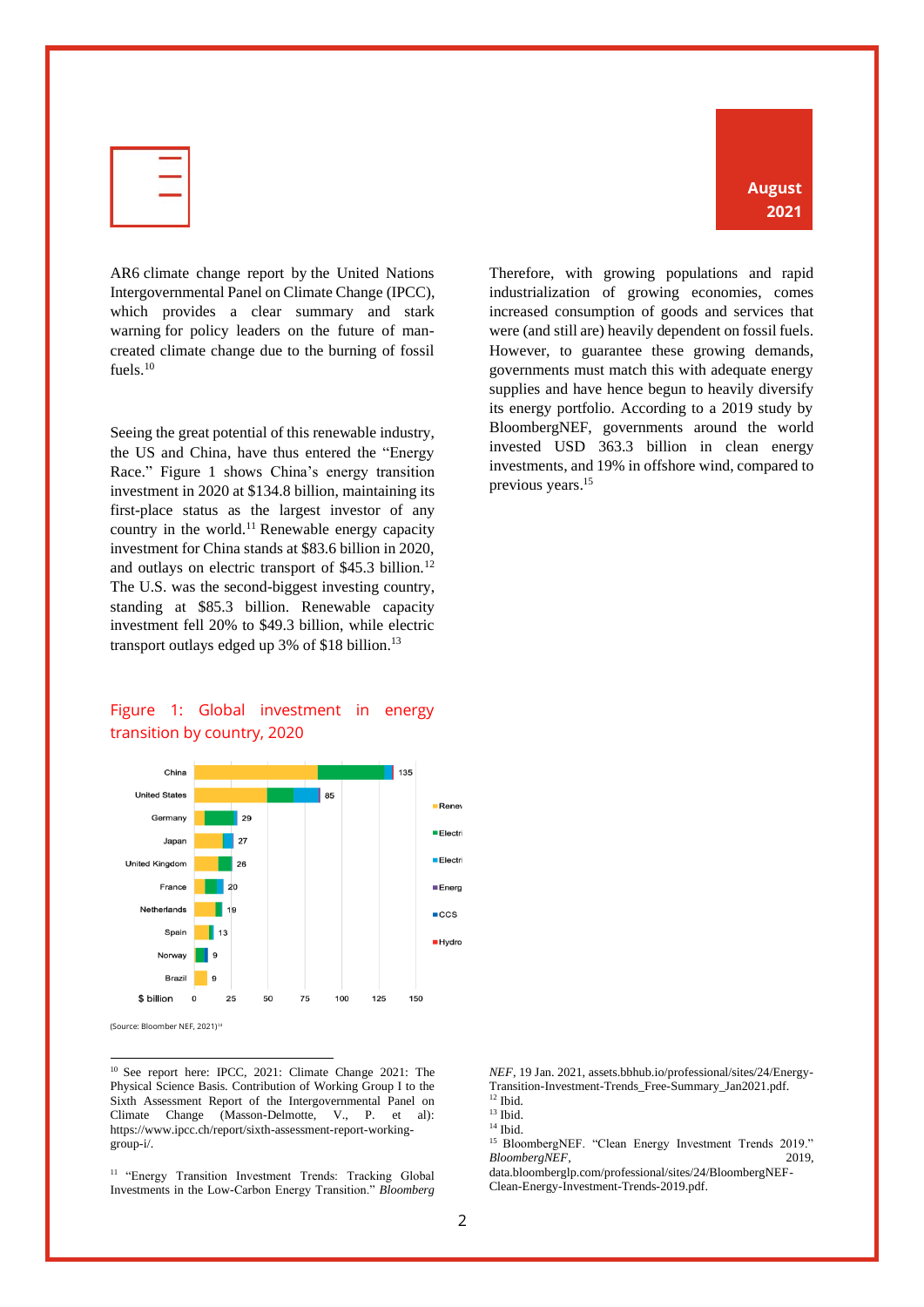

AR6 climate change report by the United Nations Intergovernmental Panel on Climate Change (IPCC), which provides a clear summary and stark warning for policy leaders on the future of mancreated climate change due to the burning of fossil fuels.<sup>10</sup>

Seeing the great potential of this renewable industry, the US and China, have thus entered the "Energy Race." Figure 1 shows China's energy transition investment in 2020 at \$134.8 billion, maintaining its first-place status as the largest investor of any country in the world.<sup>11</sup> Renewable energy capacity investment for China stands at \$83.6 billion in 2020, and outlays on electric transport of \$45.3 billion.<sup>12</sup> The U.S. was the second-biggest investing country, standing at \$85.3 billion. Renewable capacity investment fell 20% to \$49.3 billion, while electric transport outlays edged up 3% of \$18 billion.<sup>13</sup>

#### Figure 1: Global investment in energy transition by country, 2020



<sup>10</sup> See report here: IPCC, 2021: Climate Change 2021: The Physical Science Basis. Contribution of Working Group I to the Sixth Assessment Report of the Intergovernmental Panel on Climate Change (Masson-Delmotte, V., P. et al): https://www.ipcc.ch/report/sixth-assessment-report-workinggroup-i/.

<sup>11</sup> "Energy Transition Investment Trends: Tracking Global Investments in the Low-Carbon Energy Transition." *Bloomberg* 

Therefore, with growing populations and rapid industrialization of growing economies, comes increased consumption of goods and services that were (and still are) heavily dependent on fossil fuels. However, to guarantee these growing demands, governments must match this with adequate energy supplies and have hence begun to heavily diversify its energy portfolio. According to a 2019 study by BloombergNEF, governments around the world invested USD 363.3 billion in clean energy investments, and 19% in offshore wind, compared to previous years.<sup>15</sup>

**August 2021**

*NEF*, 19 Jan. 2021, assets.bbhub.io/professional/sites/24/Energy-Transition-Investment-Trends\_Free-Summary\_Jan2021.pdf. <sup>12</sup> Ibid.

 $^{14}$  Ibid.

<sup>15</sup> BloombergNEF. "Clean Energy Investment Trends 2019." *BloombergNEF*, 2019,

data.bloomberglp.com/professional/sites/24/BloombergNEF-Clean-Energy-Investment-Trends-2019.pdf.

 $13$  Ibid.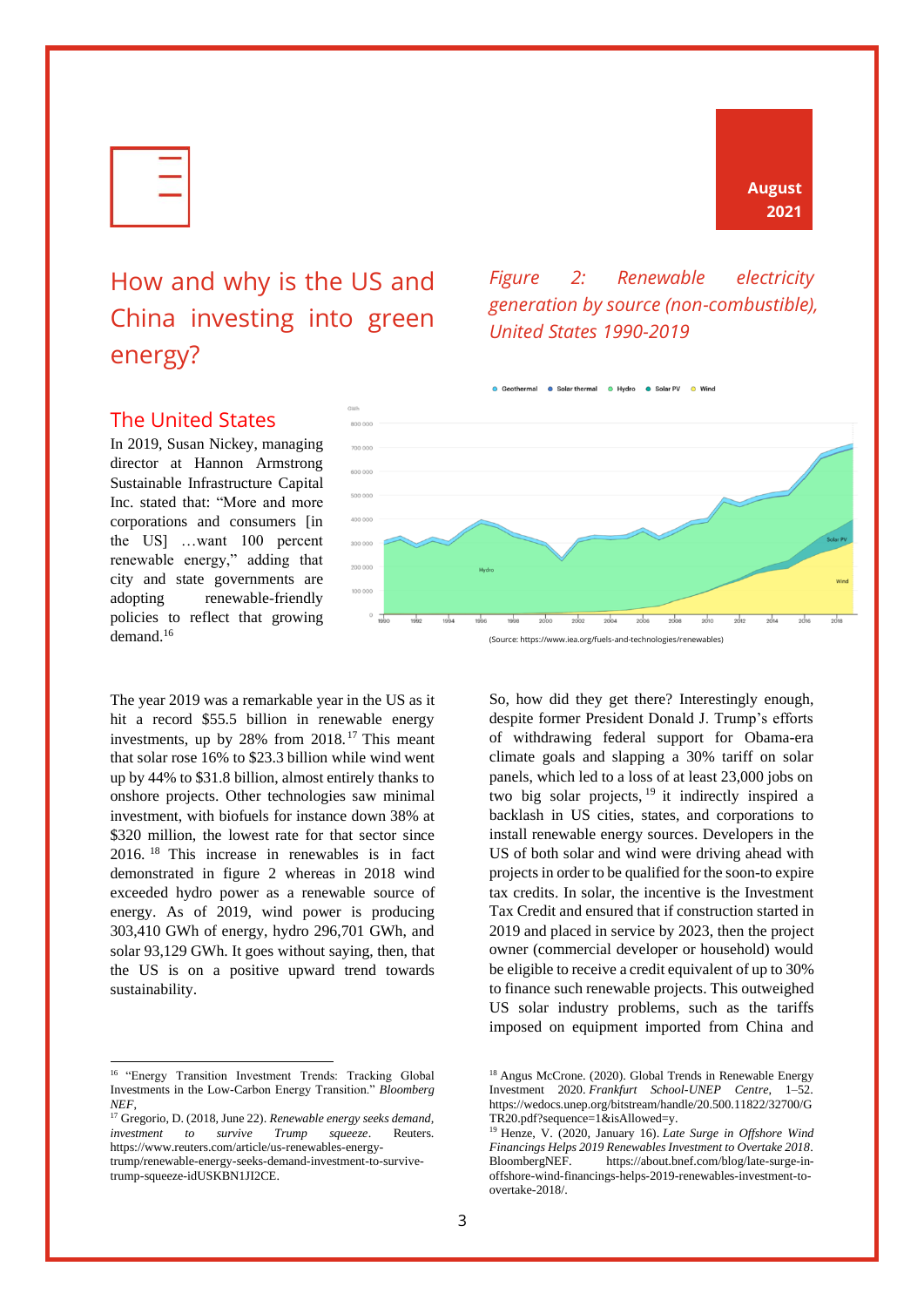| s.<br>____ |  |
|------------|--|
| --         |  |
|            |  |

# <span id="page-4-0"></span>How and why is the US and China investing into green energy?

## **August 2021**



*United States 1990-2019*

<span id="page-4-2"></span>*Figure 2: Renewable electricity generation by source (non-combustible),* 

#### <span id="page-4-1"></span>The United States

In 2019, Susan Nickey, managing director at Hannon Armstrong Sustainable Infrastructure Capital Inc. stated that: "More and more corporations and consumers [in the US] …want 100 percent renewable energy," adding that city and state governments are adopting renewable-friendly policies to reflect that growing demand.<sup>16</sup>

The year 2019 was a remarkable year in the US as it hit a record \$55.5 billion in renewable energy investments, up by 28% from 2018. <sup>17</sup> This meant that solar rose 16% to \$23.3 billion while wind went up by 44% to \$31.8 billion, almost entirely thanks to onshore projects. Other technologies saw minimal investment, with biofuels for instance down 38% at \$320 million, the lowest rate for that sector since 2016. <sup>18</sup> This increase in renewables is in fact demonstrated in figure 2 whereas in 2018 wind exceeded hydro power as a renewable source of energy. As of 2019, wind power is producing 303,410 GWh of energy, hydro 296,701 GWh, and solar 93,129 GWh. It goes without saying, then, that the US is on a positive upward trend towards sustainability.



So, how did they get there? Interestingly enough, despite former President Donald J. Trump's efforts of withdrawing federal support for Obama-era climate goals and slapping a 30% tariff on solar panels, which led to a loss of at least 23,000 jobs on two big solar projects,  $19$  it indirectly inspired a backlash in US cities, states, and corporations to install renewable energy sources. Developers in the US of both solar and wind were driving ahead with projects in order to be qualified for the soon-to expire tax credits. In solar, the incentive is the Investment Tax Credit and ensured that if construction started in 2019 and placed in service by 2023, then the project owner (commercial developer or household) would be eligible to receive a credit equivalent of up to 30% to finance such renewable projects. This outweighed US solar industry problems, such as the tariffs imposed on equipment imported from China and

<sup>&</sup>lt;sup>16</sup> "Energy Transition Investment Trends: Tracking Global Investments in the Low-Carbon Energy Transition." *Bloomberg NEF*,

<sup>17</sup> Gregorio, D. (2018, June 22). *Renewable energy seeks demand, investment to survive Trump squeeze*. Reuters. https://www.reuters.com/article/us-renewables-energytrump/renewable-energy-seeks-demand-investment-to-survivetrump-squeeze-idUSKBN1JI2CE.

<sup>&</sup>lt;sup>18</sup> Angus McCrone. (2020). Global Trends in Renewable Energy Investment 2020. *Frankfurt School-UNEP Centre*, 1–52. https://wedocs.unep.org/bitstream/handle/20.500.11822/32700/G TR20.pdf?sequence=1&isAllowed=y.

<sup>19</sup> Henze, V. (2020, January 16). *Late Surge in Offshore Wind Financings Helps 2019 Renewables Investment to Overtake 2018*. BloombergNEF. https://about.bnef.com/blog/late-surge-inoffshore-wind-financings-helps-2019-renewables-investment-toovertake-2018/.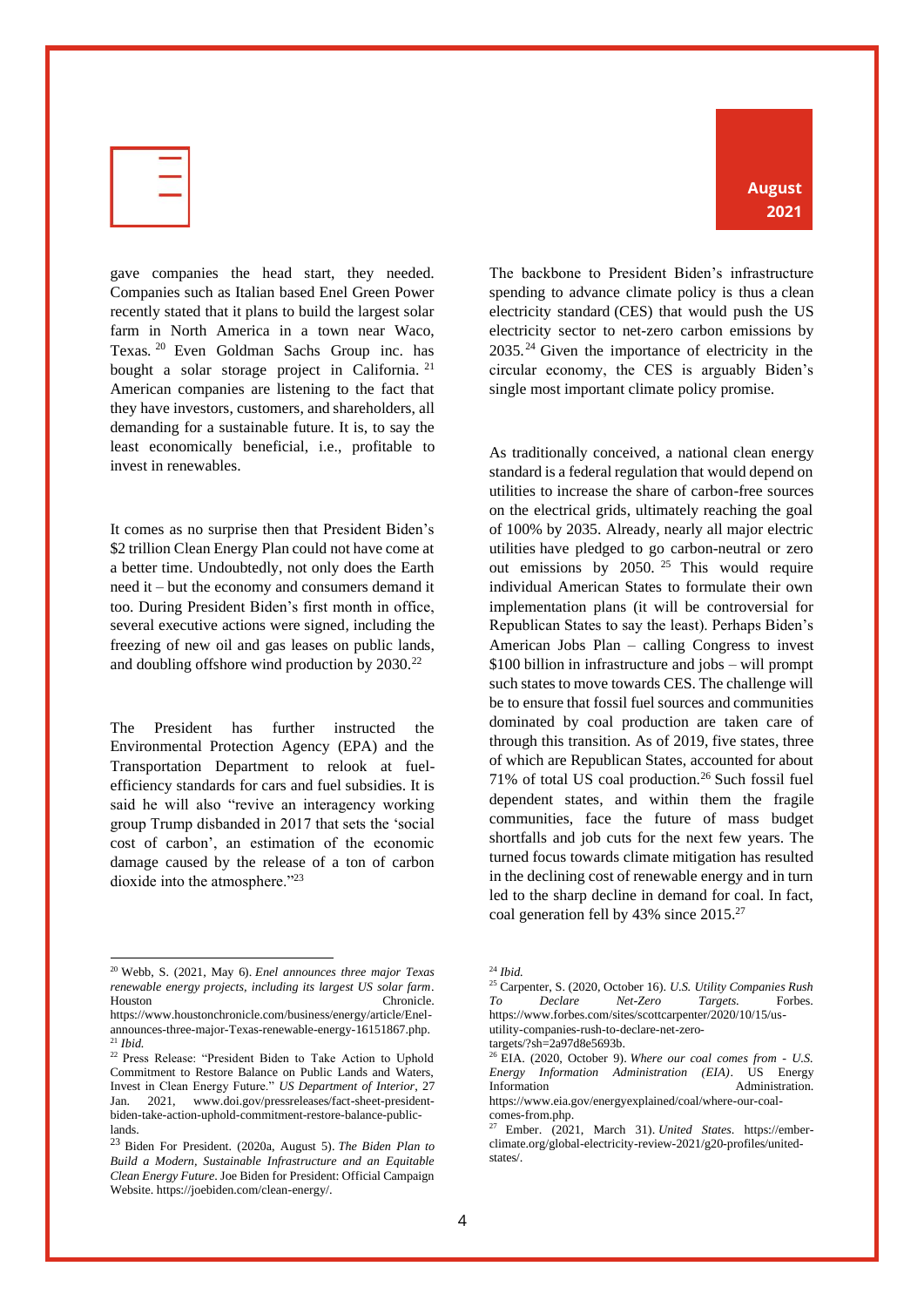

gave companies the head start, they needed. Companies such as Italian based Enel Green Power recently stated that it plans to build the largest solar farm in North America in a town near Waco, Texas. <sup>20</sup> Even Goldman Sachs Group inc. has bought a solar storage project in California.<sup>21</sup> American companies are listening to the fact that they have investors, customers, and shareholders, all demanding for a sustainable future. It is, to say the least economically beneficial, i.e., profitable to invest in renewables.

It comes as no surprise then that President Biden's \$2 trillion Clean Energy Plan could not have come at a better time. Undoubtedly, not only does the Earth need it – but the economy and consumers demand it too. During President Biden's first month in office, several executive actions were signed, including the freezing of new oil and gas leases on public lands, and doubling offshore wind production by  $2030.^{22}$ 

The President has further instructed the Environmental Protection Agency (EPA) and the Transportation Department to relook at fuelefficiency standards for cars and fuel subsidies. It is said he will also "revive an interagency working group Trump disbanded in 2017 that sets the 'social cost of carbon', an estimation of the economic damage caused by the release of a ton of carbon dioxide into the atmosphere."23

The backbone to President Biden's infrastructure spending to advance climate policy is thus a clean electricity standard (CES) that would push the US electricity sector to net-zero carbon emissions by 2035.<sup>24</sup> Given the importance of electricity in the circular economy, the CES is arguably Biden's single most important climate policy promise.

As traditionally conceived, a national clean energy standard is a federal regulation that would depend on utilities to increase the share of carbon-free sources on the electrical grids, ultimately reaching the goal of 100% by 2035. Already, nearly all major electric utilities have pledged to go carbon-neutral or zero out emissions by  $2050$ . <sup>25</sup> This would require individual American States to formulate their own implementation plans (it will be controversial for Republican States to say the least). Perhaps Biden's American Jobs Plan – calling Congress to invest \$100 billion in infrastructure and jobs – will prompt such states to move towards CES. The challenge will be to ensure that fossil fuel sources and communities dominated by coal production are taken care of through this transition. As of 2019, five states, three of which are Republican States, accounted for about  $71\%$  of total US coal production.<sup>26</sup> Such fossil fuel dependent states, and within them the fragile communities, face the future of mass budget shortfalls and job cuts for the next few years. The turned focus towards climate mitigation has resulted in the declining cost of renewable energy and in turn led to the sharp decline in demand for coal. In fact, coal generation fell by 43% since 2015.<sup>27</sup>

#### **August 2021**

<sup>20</sup> Webb, S. (2021, May 6). *Enel announces three major Texas renewable energy projects, including its largest US solar farm*. Houston Chronicle.

https://www.houstonchronicle.com/business/energy/article/Enelannounces-three-major-Texas-renewable-energy-16151867.php. <sup>21</sup> *Ibid.*

<sup>22</sup> Press Release: "President Biden to Take Action to Uphold Commitment to Restore Balance on Public Lands and Waters, Invest in Clean Energy Future." *US Department of Interior*, 27 Jan. 2021, www.doi.gov/pressreleases/fact-sheet-presidentbiden-take-action-uphold-commitment-restore-balance-publiclands.

<sup>23</sup> Biden For President. (2020a, August 5). *The Biden Plan to Build a Modern, Sustainable Infrastructure and an Equitable Clean Energy Future*. Joe Biden for President: Official Campaign Website. https://joebiden.com/clean-energy/.

<sup>24</sup> *Ibid.*

<sup>25</sup> Carpenter, S. (2020, October 16). *U.S. Utility Companies Rush To Declare Net-Zero Targets*. Forbes. https://www.forbes.com/sites/scottcarpenter/2020/10/15/usutility-companies-rush-to-declare-net-zero-

targets/?sh=2a97d8e5693b.

<sup>26</sup> EIA. (2020, October 9). *Where our coal comes from - U.S. Energy Information Administration (EIA)*. US Energy Information **Administration** https://www.eia.gov/energyexplained/coal/where-our-coalcomes-from.php.

<sup>27</sup> Ember. (2021, March 31). *United States*. https://emberclimate.org/global-electricity-review-2021/g20-profiles/unitedstates/.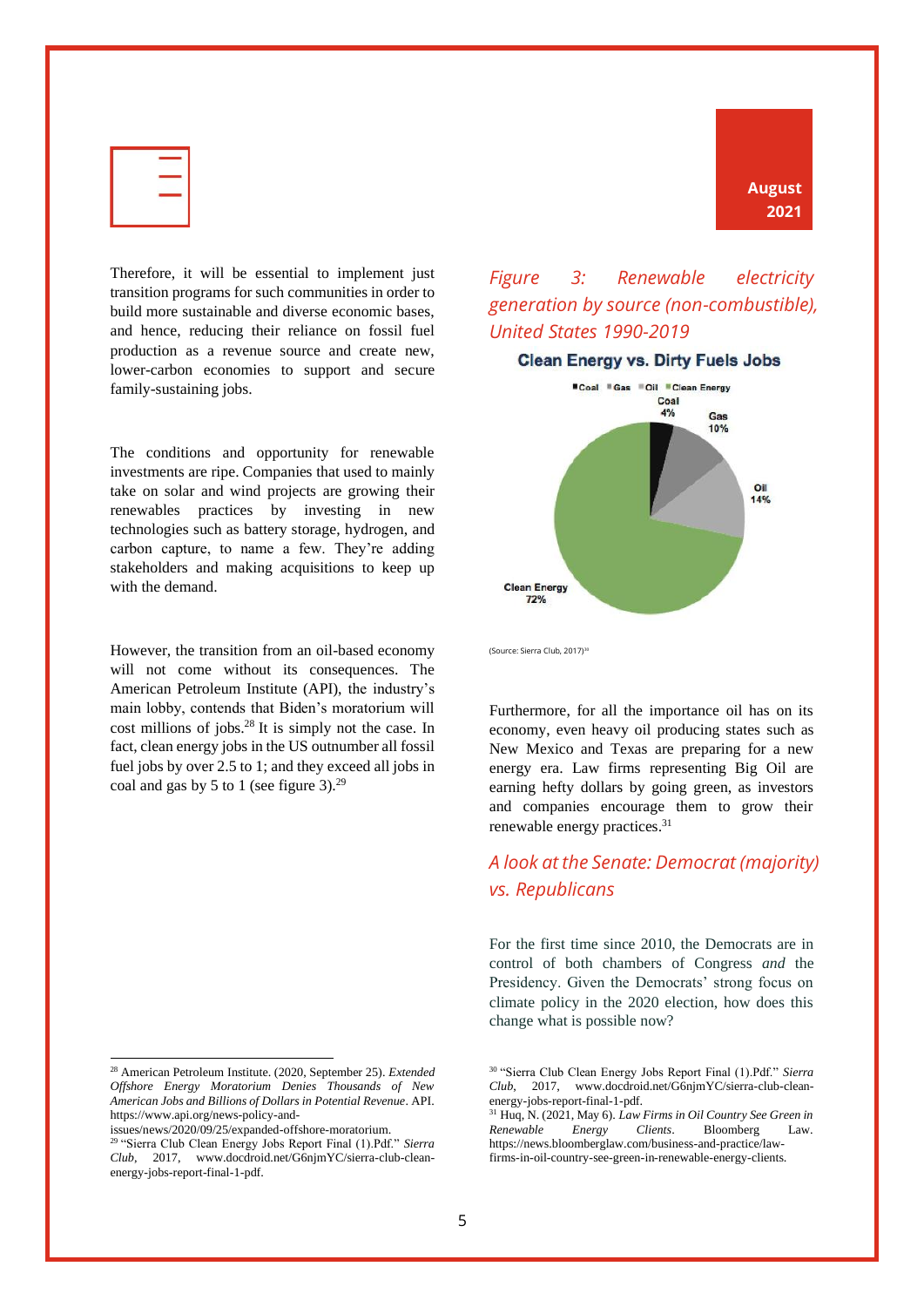

Therefore, it will be essential to implement just transition programs for such communities in order to build more sustainable and diverse economic bases, and hence, reducing their reliance on fossil fuel production as a revenue source and create new, lower-carbon economies to support and secure family-sustaining jobs.

The conditions and opportunity for renewable investments are ripe. Companies that used to mainly take on solar and wind projects are growing their renewables practices by investing in new technologies such as battery storage, hydrogen, and carbon capture, to name a few. They're adding stakeholders and making acquisitions to keep up with the demand.

However, the transition from an oil-based economy will not come without its consequences. The American Petroleum Institute (API), the industry's main lobby, contends that Biden's moratorium will cost millions of jobs.<sup>28</sup> It is simply not the case. In fact, clean energy jobs in the US outnumber all fossil fuel jobs by over 2.5 to 1; and they exceed all jobs in coal and gas by 5 to 1 (see figure 3).<sup>29</sup>

# **August 2021**

#### <span id="page-6-0"></span>*Figure 3: Renewable electricity generation by source (non-combustible), United States 1990-2019*



(Source: Sierra Club, 2017)<sup>30</sup>

Furthermore, for all the importance oil has on its economy, even heavy oil producing states such as New Mexico and Texas are preparing for a new energy era. Law firms representing Big Oil are earning hefty dollars by going green, as investors and companies encourage them to grow their renewable energy practices.<sup>31</sup>

#### <span id="page-6-1"></span>*A look at the Senate: Democrat (majority) vs. Republicans*

For the first time since 2010, the Democrats are in control of both chambers of Congress *and* the Presidency. Given the Democrats' strong focus on climate policy in the 2020 election, how does this change what is possible now?

<sup>28</sup> American Petroleum Institute. (2020, September 25). *Extended Offshore Energy Moratorium Denies Thousands of New American Jobs and Billions of Dollars in Potential Revenue*. API. https://www.api.org/news-policy-and-

issues/news/2020/09/25/expanded-offshore-moratorium.

<sup>29</sup> "Sierra Club Clean Energy Jobs Report Final (1).Pdf." *Sierra Club*, 2017, www.docdroid.net/G6njmYC/sierra-club-cleanenergy-jobs-report-final-1-pdf.

<sup>30</sup> "Sierra Club Clean Energy Jobs Report Final (1).Pdf." *Sierra Club*, 2017, www.docdroid.net/G6njmYC/sierra-club-cleanenergy-jobs-report-final-1-pdf.

<sup>31</sup> Huq, N. (2021, May 6). *Law Firms in Oil Country See Green in Renewable Energy Clients*. Bloomberg Law. https://news.bloomberglaw.com/business-and-practice/lawfirms-in-oil-country-see-green-in-renewable-energy-clients.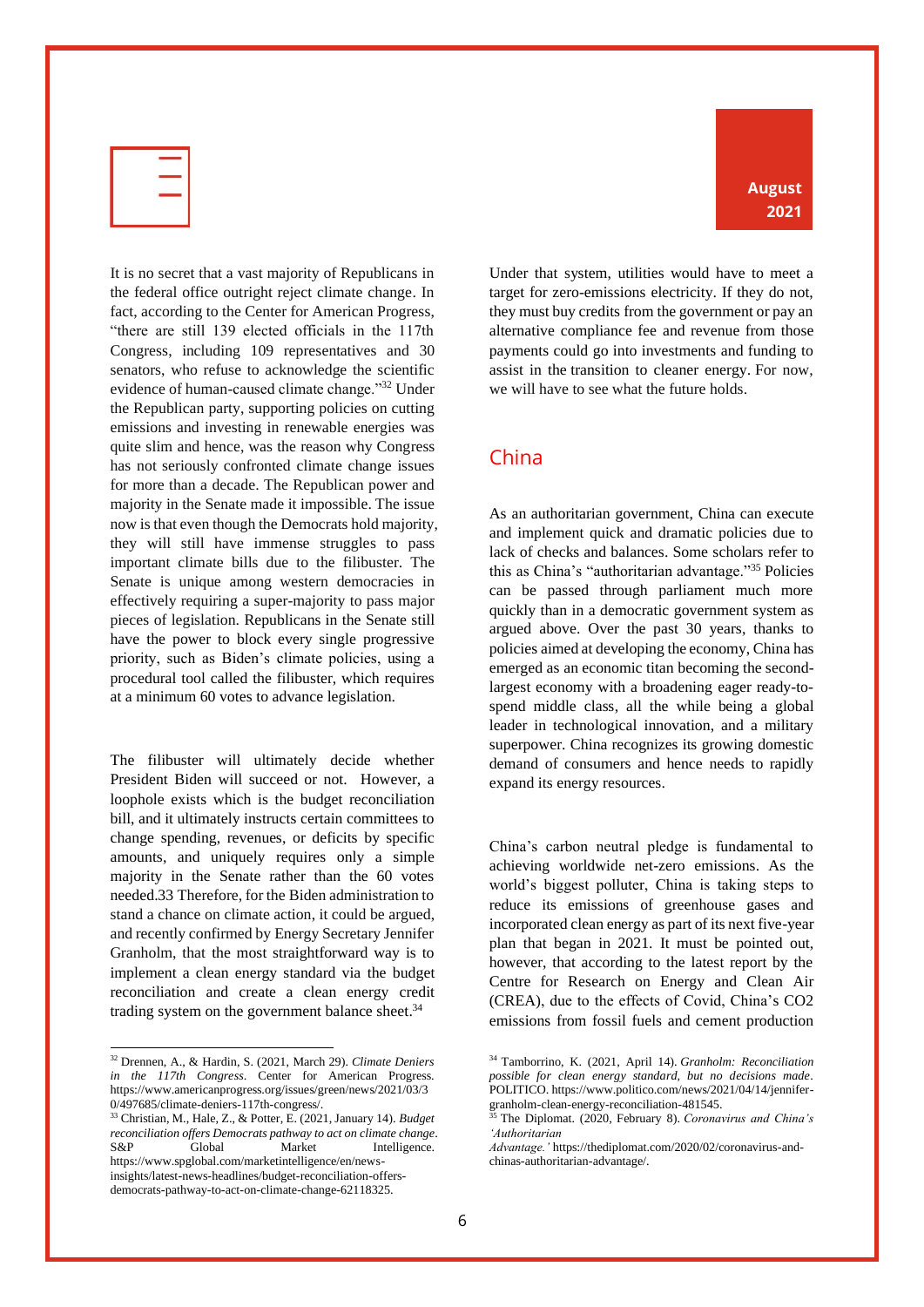

It is no secret that a vast majority of Republicans in the federal office outright reject climate change. In fact, according to the Center for American Progress, "there are still 139 elected officials in the 117th Congress, including 109 representatives and 30 senators, who refuse to acknowledge the scientific evidence of human-caused climate change."<sup>32</sup> Under the Republican party, supporting policies on cutting emissions and investing in renewable energies was quite slim and hence, was the reason why Congress has not seriously confronted climate change issues for more than a decade. The Republican power and majority in the Senate made it impossible. The issue now is that even though the Democrats hold majority, they will still have immense struggles to pass important climate bills due to the filibuster. The Senate is unique among western democracies in effectively requiring a super-majority to pass major pieces of legislation. Republicans in the Senate still have the power to block every single progressive priority, such as Biden's climate policies, using a procedural tool called the filibuster, which requires at a minimum 60 votes to advance legislation.

The filibuster will ultimately decide whether President Biden will succeed or not. However, a loophole exists which is the budget reconciliation bill, and it ultimately instructs certain committees to change spending, revenues, or deficits by specific amounts, and uniquely requires only a simple majority in the Senate rather than the 60 votes needed.33 Therefore, for the Biden administration to stand a chance on climate action, it could be argued, and recently confirmed by Energy Secretary Jennifer Granholm, that the most straightforward way is to implement a clean energy standard via the budget reconciliation and create a clean energy credit trading system on the government balance sheet.<sup>34</sup>

**August 2021**

Under that system, utilities would have to meet a target for zero-emissions electricity. If they do not, they must buy credits from the government or pay an alternative compliance fee and revenue from those payments could go into investments and funding to assist in the transition to cleaner energy. For now, we will have to see what the future holds.

#### <span id="page-7-0"></span>China

As an authoritarian government, China can execute and implement quick and dramatic policies due to lack of checks and balances. Some scholars refer to this as China's "authoritarian advantage."<sup>35</sup> Policies can be passed through parliament much more quickly than in a democratic government system as argued above. Over the past 30 years, thanks to policies aimed at developing the economy, China has emerged as an economic titan becoming the secondlargest economy with a broadening eager ready-tospend middle class, all the while being a global leader in technological innovation, and a military superpower. China recognizes its growing domestic demand of consumers and hence needs to rapidly expand its energy resources.

China's carbon neutral pledge is fundamental to achieving worldwide net-zero emissions. As the world's biggest polluter, China is taking steps to reduce its emissions of greenhouse gases and incorporated clean energy as part of its next five-year plan that began in 2021. It must be pointed out, however, that according to the latest report by the Centre for Research on Energy and Clean Air (CREA), due to the effects of Covid, China's CO2 emissions from fossil fuels and cement production

<sup>32</sup> Drennen, A., & Hardin, S. (2021, March 29). *Climate Deniers in the 117th Congress*. Center for American Progress. https://www.americanprogress.org/issues/green/news/2021/03/3 0/497685/climate-deniers-117th-congress/.

<sup>33</sup> Christian, M., Hale, Z., & Potter, E. (2021, January 14). *Budget reconciliation offers Democrats pathway to act on climate change*. S&P Global Market Intelligence. https://www.spglobal.com/marketintelligence/en/newsinsights/latest-news-headlines/budget-reconciliation-offersdemocrats-pathway-to-act-on-climate-change-62118325.

<sup>34</sup> Tamborrino, K. (2021, April 14). *Granholm: Reconciliation possible for clean energy standard, but no decisions made*. POLITICO. https://www.politico.com/news/2021/04/14/jennifergranholm-clean-energy-reconciliation-481545.<br>  $\frac{35 \text{ Tha. Di-1} \text{cm} \times (2020 - 7)}{2020 - 7}$ 

<sup>35</sup> The Diplomat. (2020, February 8). *Coronavirus and China's 'Authoritarian* 

*Advantage.'* https://thediplomat.com/2020/02/coronavirus-andchinas-authoritarian-advantage/.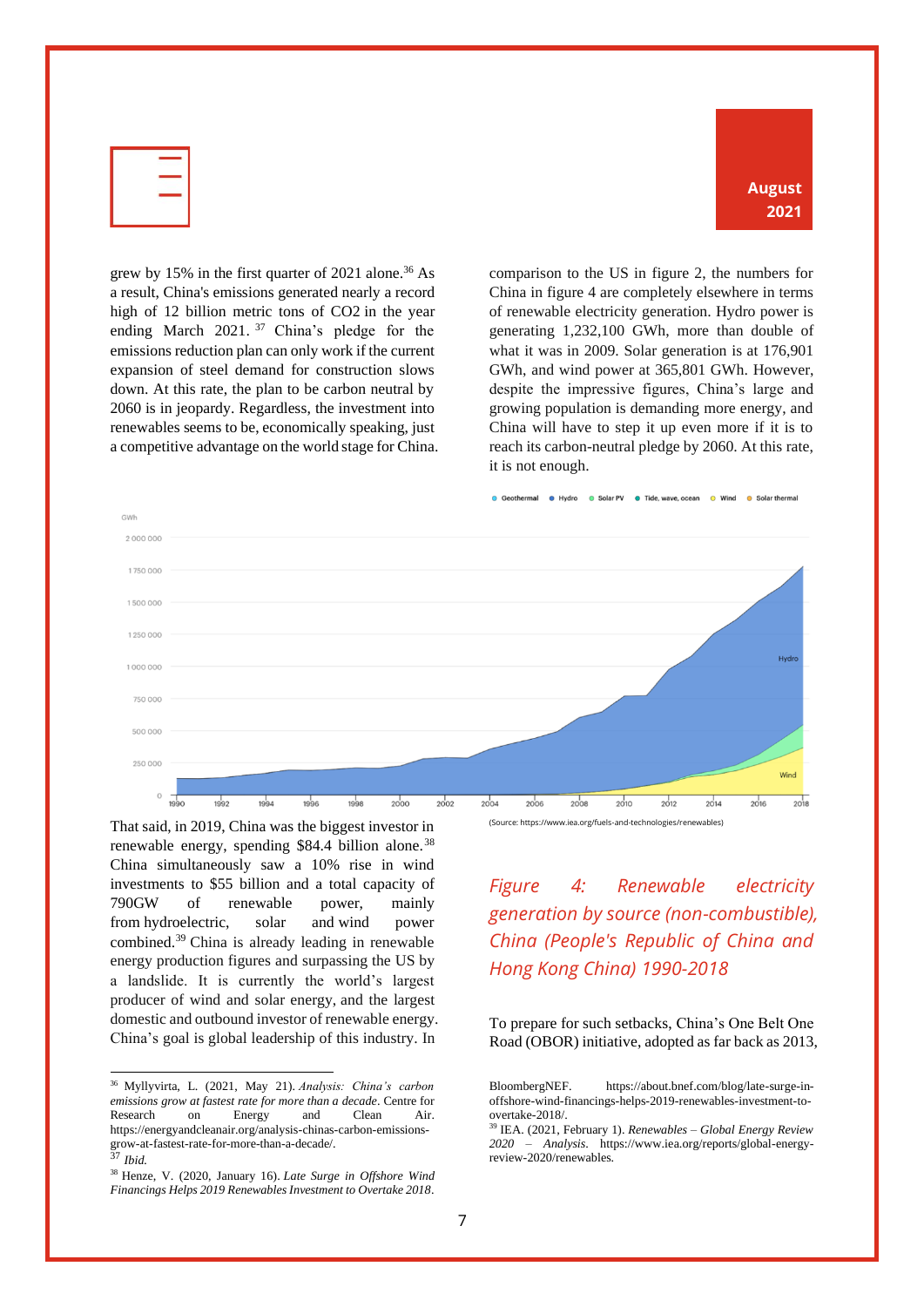| -                              |
|--------------------------------|
| X.<br>$\overline{\phantom{a}}$ |
| ۰                              |
|                                |

**August 2021**

grew by 15% in the first quarter of 2021 alone.<sup>36</sup> As a result, China's emissions generated nearly a record high of 12 billion metric tons of CO2 in the year ending March 2021.<sup>37</sup> China's pledge for the emissions reduction plan can only work if the current expansion of steel demand for construction slows down. At this rate, the plan to be carbon neutral by 2060 is in jeopardy. Regardless, the investment into renewables seems to be, economically speaking, just a competitive advantage on the world stage for China. comparison to the US in figure 2, the numbers for China in figure 4 are completely elsewhere in terms of renewable electricity generation. Hydro power is generating 1,232,100 GWh, more than double of what it was in 2009. Solar generation is at 176,901 GWh, and wind power at 365,801 GWh. However, despite the impressive figures, China's large and growing population is demanding more energy, and China will have to step it up even more if it is to reach its carbon-neutral pledge by 2060. At this rate, it is not enough.



That said, in 2019, China was the biggest investor in renewable energy, spending \$84.4 billion alone.<sup>38</sup> China simultaneously saw a 10% rise in wind investments to \$55 billion and a total capacity of 790GW of renewable power, mainly from hydroelectric, solar and wind power combined.<sup>39</sup> China is already leading in renewable energy production figures and surpassing the US by a landslide. It is currently the world's largest producer of wind and solar energy, and the largest domestic and outbound investor of renewable energy. China's goal is global leadership of this industry. In

(Source: https://www.iea.org/fuels-and-technologies/renewables)

#### <span id="page-8-0"></span>*Figure 4: Renewable electricity generation by source (non-combustible), China (People's Republic of China and Hong Kong China) 1990-2018*

To prepare for such setbacks, China's One Belt One Road (OBOR) initiative, adopted as far back as 2013,

<sup>36</sup> Myllyvirta, L. (2021, May 21). *Analysis: China's carbon emissions grow at fastest rate for more than a decade*. Centre for Research on Energy and Clean Air. https://energyandcleanair.org/analysis-chinas-carbon-emissionsgrow-at-fastest-rate-for-more-than-a-decade/.

<sup>37</sup> *Ibid.*

<sup>38</sup> Henze, V. (2020, January 16). *Late Surge in Offshore Wind Financings Helps 2019 Renewables Investment to Overtake 2018*.

BloombergNEF. https://about.bnef.com/blog/late-surge-inoffshore-wind-financings-helps-2019-renewables-investment-toovertake-2018/.

<sup>39</sup> IEA. (2021, February 1). *Renewables – Global Energy Review 2020 – Analysis*. https://www.iea.org/reports/global-energyreview-2020/renewables.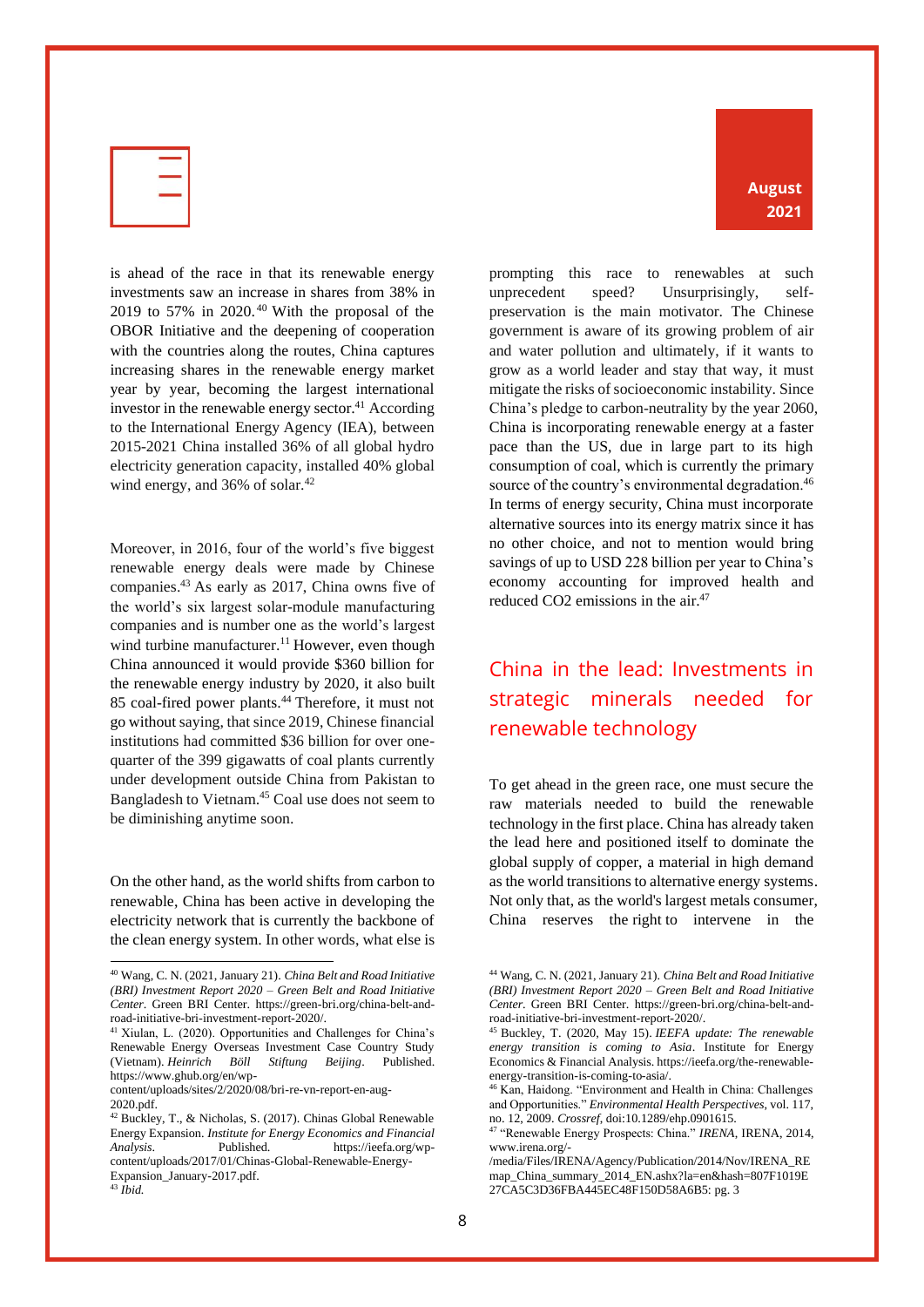

is ahead of the race in that its renewable energy investments saw an increase in shares from 38% in 2019 to 57% in 2020. $40$  With the proposal of the OBOR Initiative and the deepening of cooperation with the countries along the routes, China captures increasing shares in the renewable energy market year by year, becoming the largest international investor in the renewable energy sector. $41$  According to the International Energy Agency (IEA), between 2015-2021 China installed 36% of all global hydro electricity generation capacity, installed 40% global wind energy, and  $36\%$  of solar.<sup>42</sup>

Moreover, in 2016, four of the world's five biggest renewable energy deals were made by Chinese companies.<sup>43</sup> As early as 2017, China owns five of the world's six largest solar-module manufacturing companies and is number one as the world's largest wind turbine manufacturer.<sup>11</sup> However, even though China announced it would provide \$360 billion for the renewable energy industry by 2020, it also built 85 coal-fired power plants.<sup>44</sup> Therefore, it must not go without saying, that since 2019, Chinese financial institutions had committed \$36 billion for over onequarter of the 399 gigawatts of coal plants currently under development outside China from Pakistan to Bangladesh to Vietnam.<sup>45</sup> Coal use does not seem to be diminishing anytime soon.

On the other hand, as the world shifts from carbon to renewable, China has been active in developing the electricity network that is currently the backbone of the clean energy system. In other words, what else is

prompting this race to renewables at such unprecedent speed? Unsurprisingly, selfpreservation is the main motivator. The Chinese government is aware of its growing problem of air and water pollution and ultimately, if it wants to grow as a world leader and stay that way, it must mitigate the risks of socioeconomic instability. Since China's pledge to carbon-neutrality by the year 2060, China is incorporating renewable energy at a faster pace than the US, due in large part to its high consumption of coal, which is currently the primary source of the country's environmental degradation.<sup>46</sup> In terms of energy security, China must incorporate alternative sources into its energy matrix since it has no other choice, and not to mention would bring savings of up to USD 228 billion per year to China's economy accounting for improved health and reduced CO2 emissions in the air.<sup>47</sup>

## <span id="page-9-0"></span>China in the lead: Investments in strategic minerals needed for renewable technology

To get ahead in the green race, one must secure the raw materials needed to build the renewable technology in the first place. China has already taken the lead here and positioned itself to dominate the global supply of copper, a material in high demand as the world transitions to alternative energy systems. Not only that, as the world's largest metals consumer, China reserves the right to intervene in the

<sup>40</sup> Wang, C. N. (2021, January 21). *China Belt and Road Initiative (BRI) Investment Report 2020 – Green Belt and Road Initiative Center*. Green BRI Center. https://green-bri.org/china-belt-androad-initiative-bri-investment-report-2020/.

<sup>41</sup> Xiulan, L. (2020). Opportunities and Challenges for China's Renewable Energy Overseas Investment Case Country Study (Vietnam). *Heinrich Böll Stiftung Beijing*. Published. https://www.ghub.org/en/wp-

content/uploads/sites/2/2020/08/bri-re-vn-report-en-aug-2020.pdf.

<sup>42</sup> Buckley, T., & Nicholas, S. (2017). Chinas Global Renewable Energy Expansion. *Institute for Energy Economics and Financial Analysis*. Published. https://ieefa.org/wpcontent/uploads/2017/01/Chinas-Global-Renewable-Energy-Expansion\_January-2017.pdf.

<sup>43</sup> *Ibid.*

<sup>44</sup> Wang, C. N. (2021, January 21). *China Belt and Road Initiative (BRI) Investment Report 2020 – Green Belt and Road Initiative Center*. Green BRI Center. https://green-bri.org/china-belt-androad-initiative-bri-investment-report-2020/.

<sup>45</sup> Buckley, T. (2020, May 15). *IEEFA update: The renewable energy transition is coming to Asia*. Institute for Energy Economics & Financial Analysis. https://ieefa.org/the-renewableenergy-transition-is-coming-to-asia/.

<sup>46</sup> Kan, Haidong. "Environment and Health in China: Challenges and Opportunities." *Environmental Health Perspectives*, vol. 117, no. 12, 2009. *Crossref*, doi:10.1289/ehp.0901615.

<sup>47</sup> "Renewable Energy Prospects: China." *IRENA*, IRENA, 2014, www.irena.org/-

<sup>/</sup>media/Files/IRENA/Agency/Publication/2014/Nov/IRENA\_RE map\_China\_summary\_2014\_EN.ashx?la=en&hash=807F1019E 27CA5C3D36FBA445EC48F150D58A6B5: pg. 3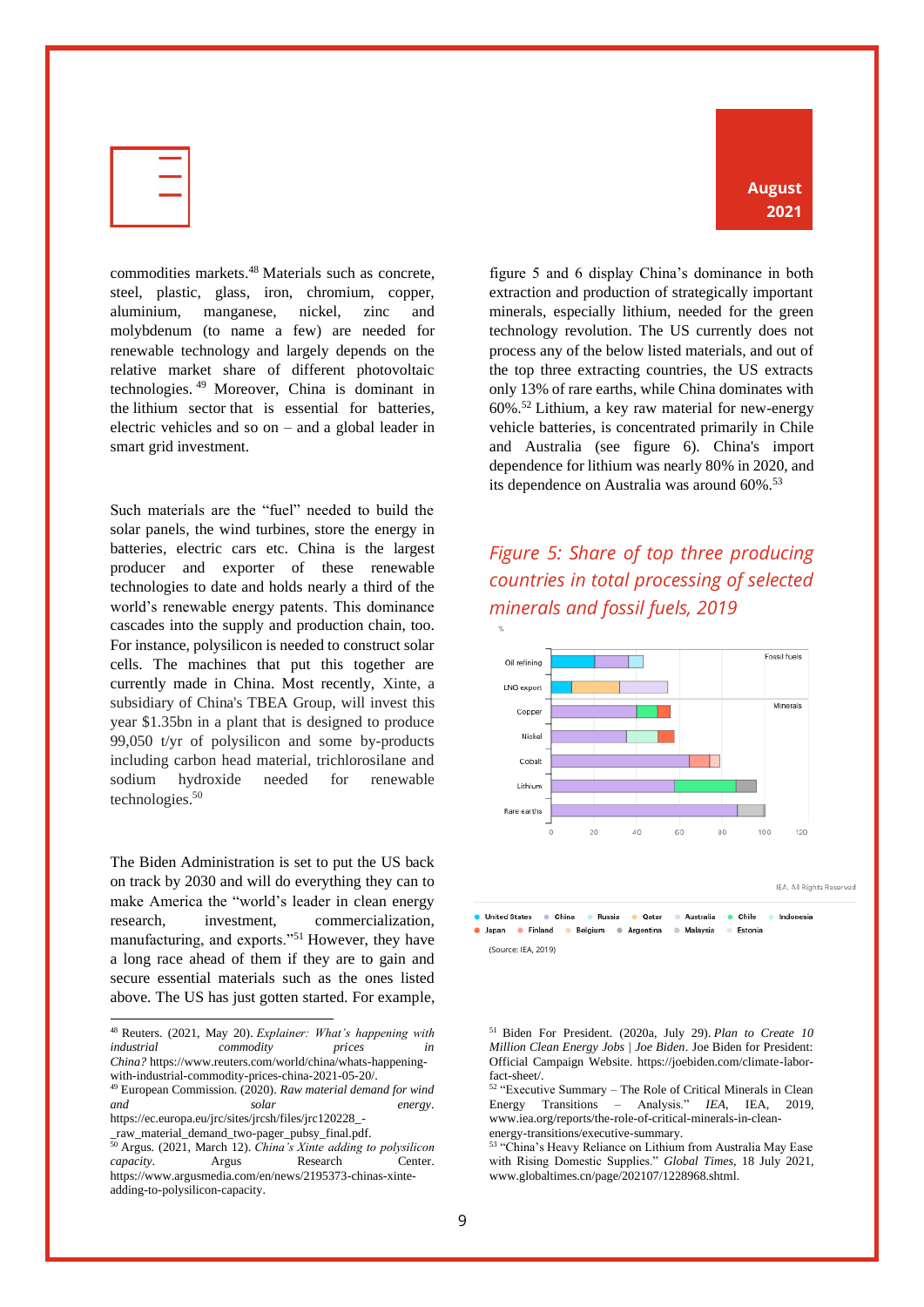| ÷          |
|------------|
| u.<br>____ |
| ۰          |
|            |

commodities markets. <sup>48</sup> Materials such as concrete, steel, plastic, glass, iron, chromium, copper, aluminium, manganese, nickel, zinc and molybdenum (to name a few) are needed for renewable technology and largely depends on the relative market share of different photovoltaic technologies. <sup>49</sup> Moreover, China is dominant in the lithium sector that is essential for batteries, electric vehicles and so on – and a global leader in smart grid investment.

Such materials are the "fuel" needed to build the solar panels, the wind turbines, store the energy in batteries, electric cars etc. China is the largest producer and exporter of these renewable technologies to date and holds nearly a third of the world's renewable energy patents. This dominance cascades into the supply and production chain, too. For instance, polysilicon is needed to construct solar cells. The machines that put this together are currently made in China. Most recently, Xinte, a subsidiary of China's TBEA Group, will invest this year \$1.35bn in a plant that is designed to produce 99,050 t/yr of polysilicon and some by-products including carbon head material, trichlorosilane and sodium hydroxide needed for renewable technologies. 50

The Biden Administration is set to put the US back on track by 2030 and will do everything they can to make America the "world's leader in clean energy research, investment, commercialization, manufacturing, and exports."<sup>51</sup> However, they have a long race ahead of them if they are to gain and secure essential materials such as the ones listed above. The US has just gotten started. For example,

\_raw\_material\_demand\_two-pager\_pubsy\_final.pdf.

figure 5 and 6 display China's dominance in both extraction and production of strategically important minerals, especially lithium, needed for the green technology revolution. The US currently does not process any of the below listed materials, and out of the top three extracting countries, the US extracts only 13% of rare earths, while China dominates with 60%.<sup>52</sup> Lithium, a key raw material for new-energy vehicle batteries, is concentrated primarily in Chile and Australia (see figure 6). China's import dependence for lithium was nearly 80% in 2020, and its dependence on Australia was around 60%.<sup>53</sup>

#### <span id="page-10-0"></span>*Figure 5: Share of top three producing countries in total processing of selected minerals and fossil fuels, 2019*





**United States**  $\bullet$  China **A** Russia **Oatar** Australia · Chile Indonesia · Japan · Finland **Belgium** Argentina Malaysia  $\alpha$ Estonia  $\Rightarrow$ (Source: IEA, 2019)

<sup>48</sup> Reuters. (2021, May 20). *Explainer: What's happening with industrial commodity prices in China?* https://www.reuters.com/world/china/whats-happeningwith-industrial-commodity-prices-china-2021-05-20/.

<sup>49</sup> European Commission. (2020). *Raw material demand for wind and solar energy*. https://ec.europa.eu/jrc/sites/jrcsh/files/jrc120228\_-

<sup>50</sup> Argus. (2021, March 12). *China's Xinte adding to polysilicon capacity*. Argus Research Center. https://www.argusmedia.com/en/news/2195373-chinas-xinteadding-to-polysilicon-capacity.

<sup>51</sup> Biden For President. (2020a, July 29). *Plan to Create 10 Million Clean Energy Jobs | Joe Biden*. Joe Biden for President: Official Campaign Website. https://joebiden.com/climate-laborfact-sheet/.

<sup>52</sup> "Executive Summary – The Role of Critical Minerals in Clean Energy Transitions – Analysis." *IEA*, IEA, 2019, www.iea.org/reports/the-role-of-critical-minerals-in-cleanenergy-transitions/executive-summary.

<sup>53 &</sup>quot;China's Heavy Reliance on Lithium from Australia May Ease with Rising Domestic Supplies." *Global Times*, 18 July 2021, www.globaltimes.cn/page/202107/1228968.shtml.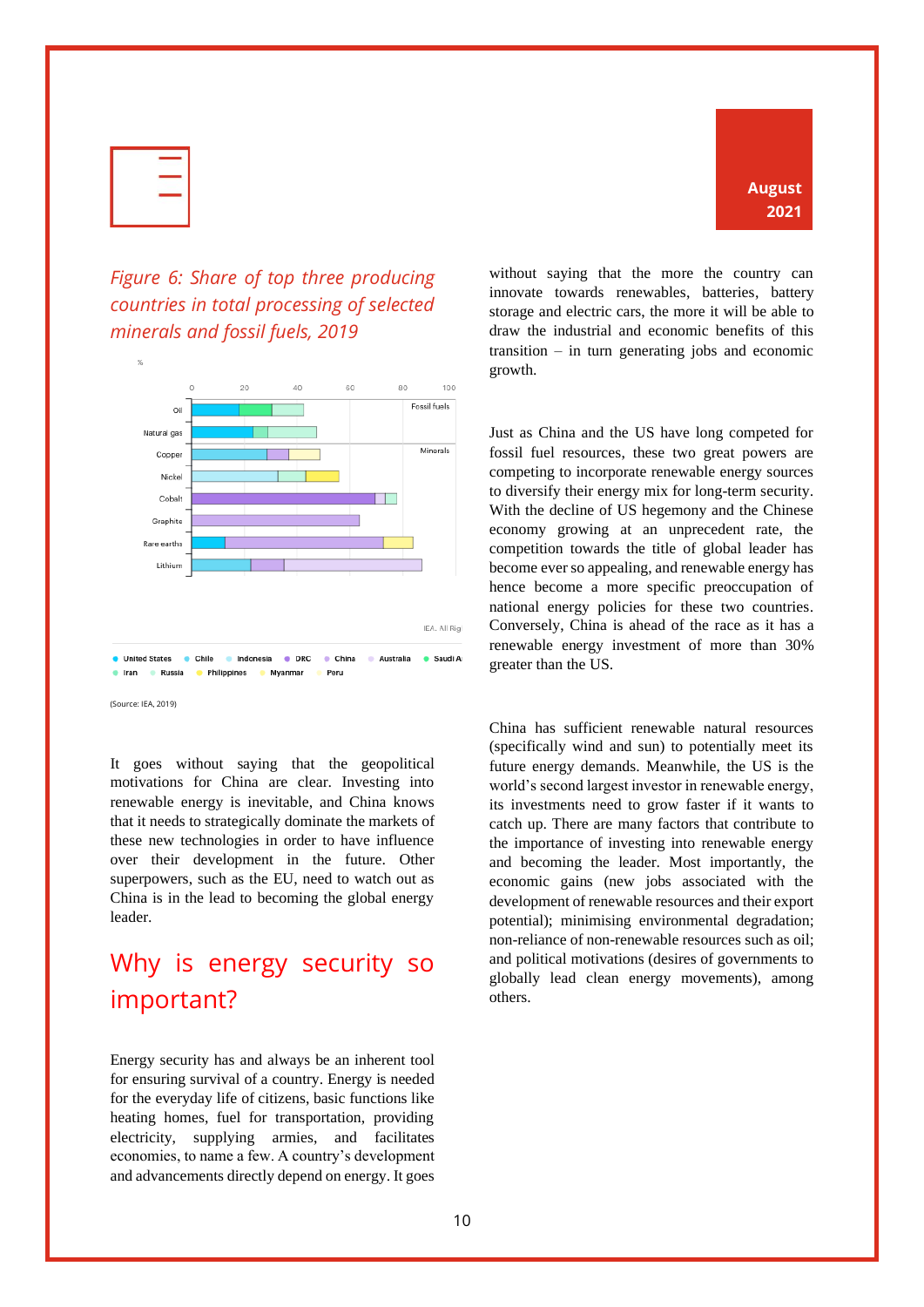

**August 2021**

#### <span id="page-11-0"></span>*Figure 6: Share of top three producing countries in total processing of selected minerals and fossil fuels, 2019*



(Source: IEA, 2019)

It goes without saying that the geopolitical motivations for China are clear. Investing into renewable energy is inevitable, and China knows that it needs to strategically dominate the markets of these new technologies in order to have influence over their development in the future. Other superpowers, such as the EU, need to watch out as China is in the lead to becoming the global energy leader.

# <span id="page-11-1"></span>Why is energy security so important?

Energy security has and always be an inherent tool for ensuring survival of a country. Energy is needed for the everyday life of citizens, basic functions like heating homes, fuel for transportation, providing electricity, supplying armies, and facilitates economies, to name a few. A country's development and advancements directly depend on energy. It goes without saying that the more the country can innovate towards renewables, batteries, battery storage and electric cars, the more it will be able to draw the industrial and economic benefits of this transition – in turn generating jobs and economic growth.

Just as China and the US have long competed for fossil fuel resources, these two great powers are competing to incorporate renewable energy sources to diversify their energy mix for long-term security. With the decline of US hegemony and the Chinese economy growing at an unprecedent rate, the competition towards the title of global leader has become ever so appealing, and renewable energy has hence become a more specific preoccupation of national energy policies for these two countries. Conversely, China is ahead of the race as it has a renewable energy investment of more than 30% greater than the US.

China has sufficient renewable natural resources (specifically wind and sun) to potentially meet its future energy demands. Meanwhile, the US is the world's second largest investor in renewable energy, its investments need to grow faster if it wants to catch up. There are many factors that contribute to the importance of investing into renewable energy and becoming the leader. Most importantly, the economic gains (new jobs associated with the development of renewable resources and their export potential); minimising environmental degradation; non-reliance of non-renewable resources such as oil; and political motivations (desires of governments to globally lead clean energy movements), among others.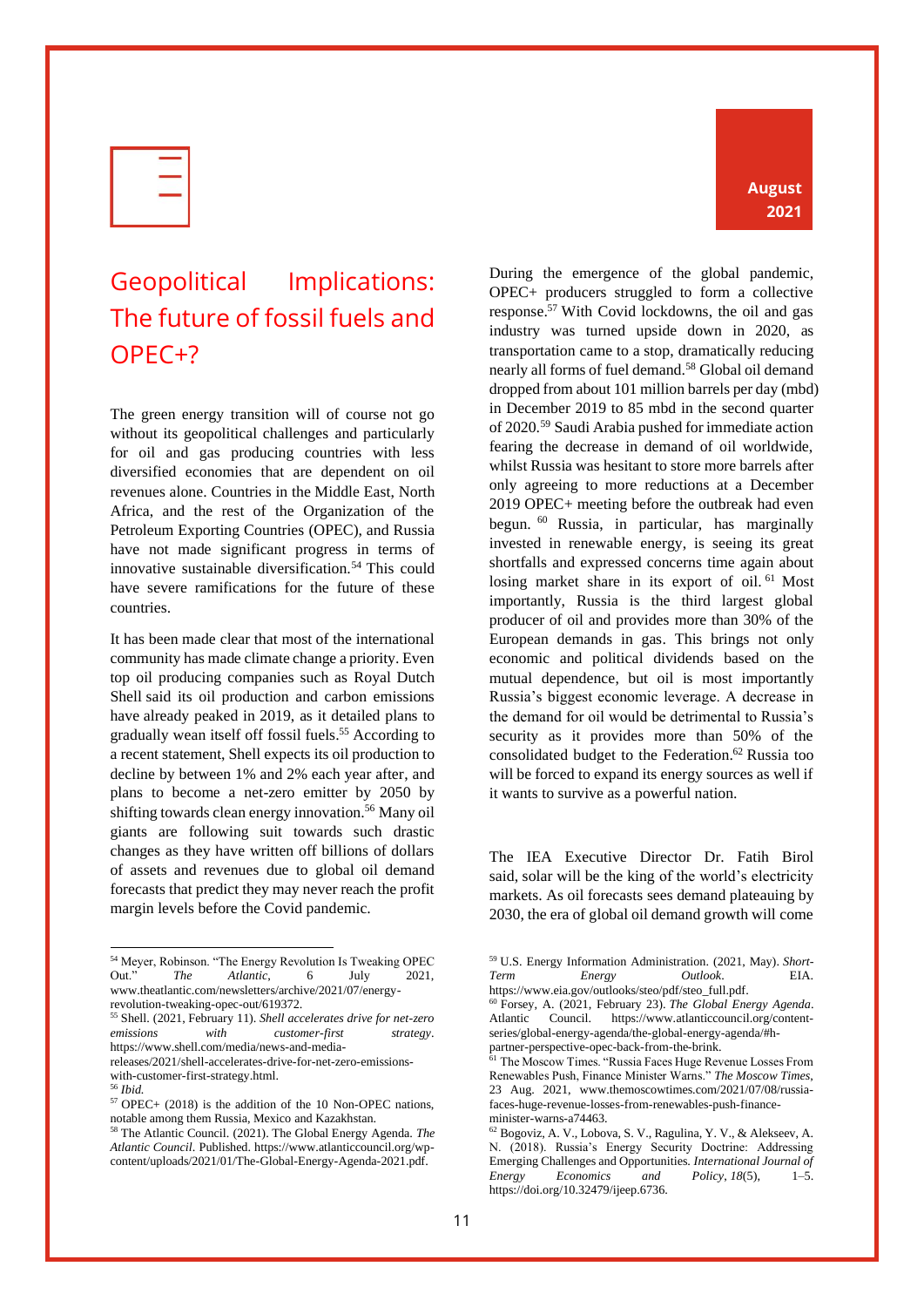| ÷       |
|---------|
| X.<br>۰ |
|         |

# <span id="page-12-0"></span>Geopolitical Implications: The future of fossil fuels and OPEC+?

The green energy transition will of course not go without its geopolitical challenges and particularly for oil and gas producing countries with less diversified economies that are dependent on oil revenues alone. Countries in the Middle East, North Africa, and the rest of the Organization of the Petroleum Exporting Countries (OPEC), and Russia have not made significant progress in terms of innovative sustainable diversification.<sup>54</sup> This could have severe ramifications for the future of these countries.

It has been made clear that most of the international community has made climate change a priority. Even top oil producing companies such as Royal Dutch Shell said its oil production and carbon emissions have already peaked in 2019, as it detailed plans to gradually wean itself off fossil fuels.<sup>55</sup> According to a recent statement, Shell expects its oil production to decline by between 1% and 2% each year after, and plans to become a net-zero emitter by 2050 by shifting towards clean energy innovation.<sup>56</sup> Many oil giants are following suit towards such drastic changes as they have written off billions of dollars of assets and revenues due to global oil demand forecasts that predict they may never reach the profit margin levels before the Covid pandemic.

with-customer-first-strategy.html. <sup>56</sup> *Ibid.*

#### **August 2021**

During the emergence of the global pandemic, OPEC+ producers struggled to form a collective response.<sup>57</sup> With Covid lockdowns, the oil and gas industry was turned upside down in 2020, as transportation came to a stop, dramatically reducing nearly all forms of fuel demand.<sup>58</sup> Global oil demand dropped from about 101 million barrels per day (mbd) in December 2019 to 85 mbd in the second quarter of 2020.<sup>59</sup> Saudi Arabia pushed for immediate action fearing the decrease in demand of oil worldwide, whilst Russia was hesitant to store more barrels after only agreeing to more reductions at a December 2019 OPEC+ meeting before the outbreak had even begun. <sup>60</sup> Russia, in particular, has marginally invested in renewable energy, is seeing its great shortfalls and expressed concerns time again about losing market share in its export of oil.<sup>61</sup> Most importantly, Russia is the third largest global producer of oil and provides more than 30% of the European demands in gas. This brings not only economic and political dividends based on the mutual dependence, but oil is most importantly Russia's biggest economic leverage. A decrease in the demand for oil would be detrimental to Russia's security as it provides more than 50% of the consolidated budget to the Federation. <sup>62</sup> Russia too will be forced to expand its energy sources as well if it wants to survive as a powerful nation.

The IEA Executive Director Dr. Fatih Birol said, solar will be the king of the world's electricity markets. As oil forecasts sees demand plateauing by 2030, the era of global oil demand growth will come

<sup>54</sup> Meyer, Robinson. "The Energy Revolution Is Tweaking OPEC Out." *The Atlantic*, 6 July 2021, www.theatlantic.com/newsletters/archive/2021/07/energyrevolution-tweaking-opec-out/619372.

<sup>55</sup> Shell. (2021, February 11). *Shell accelerates drive for net-zero emissions with customer-first strategy*. https://www.shell.com/media/news-and-mediareleases/2021/shell-accelerates-drive-for-net-zero-emissions-

<sup>57</sup> OPEC+ (2018) is the addition of the 10 Non-OPEC nations, notable among them Russia, Mexico and Kazakhstan.

<sup>58</sup> The Atlantic Council. (2021). The Global Energy Agenda. *The Atlantic Council*. Published. https://www.atlanticcouncil.org/wpcontent/uploads/2021/01/The-Global-Energy-Agenda-2021.pdf.

<sup>59</sup> U.S. Energy Information Administration. (2021, May). *Short-Term Energy Outlook*. EIA. https://www.eia.gov/outlooks/steo/pdf/steo\_full.pdf.

<sup>60</sup> Forsey, A. (2021, February 23). *The Global Energy Agenda*. Atlantic Council. https://www.atlanticcouncil.org/contentseries/global-energy-agenda/the-global-energy-agenda/#hpartner-perspective-opec-back-from-the-brink.

<sup>61</sup> The Moscow Times. "Russia Faces Huge Revenue Losses From Renewables Push, Finance Minister Warns." *The Moscow Times*, 23 Aug. 2021, www.themoscowtimes.com/2021/07/08/russiafaces-huge-revenue-losses-from-renewables-push-financeminister-warns-a74463.

<sup>62</sup> Bogoviz, A. V., Lobova, S. V., Ragulina, Y. V., & Alekseev, A. N. (2018). Russia's Energy Security Doctrine: Addressing Emerging Challenges and Opportunities. *International Journal of Energy Economics and Policy*, *18*(5), 1–5. https://doi.org/10.32479/ijeep.6736.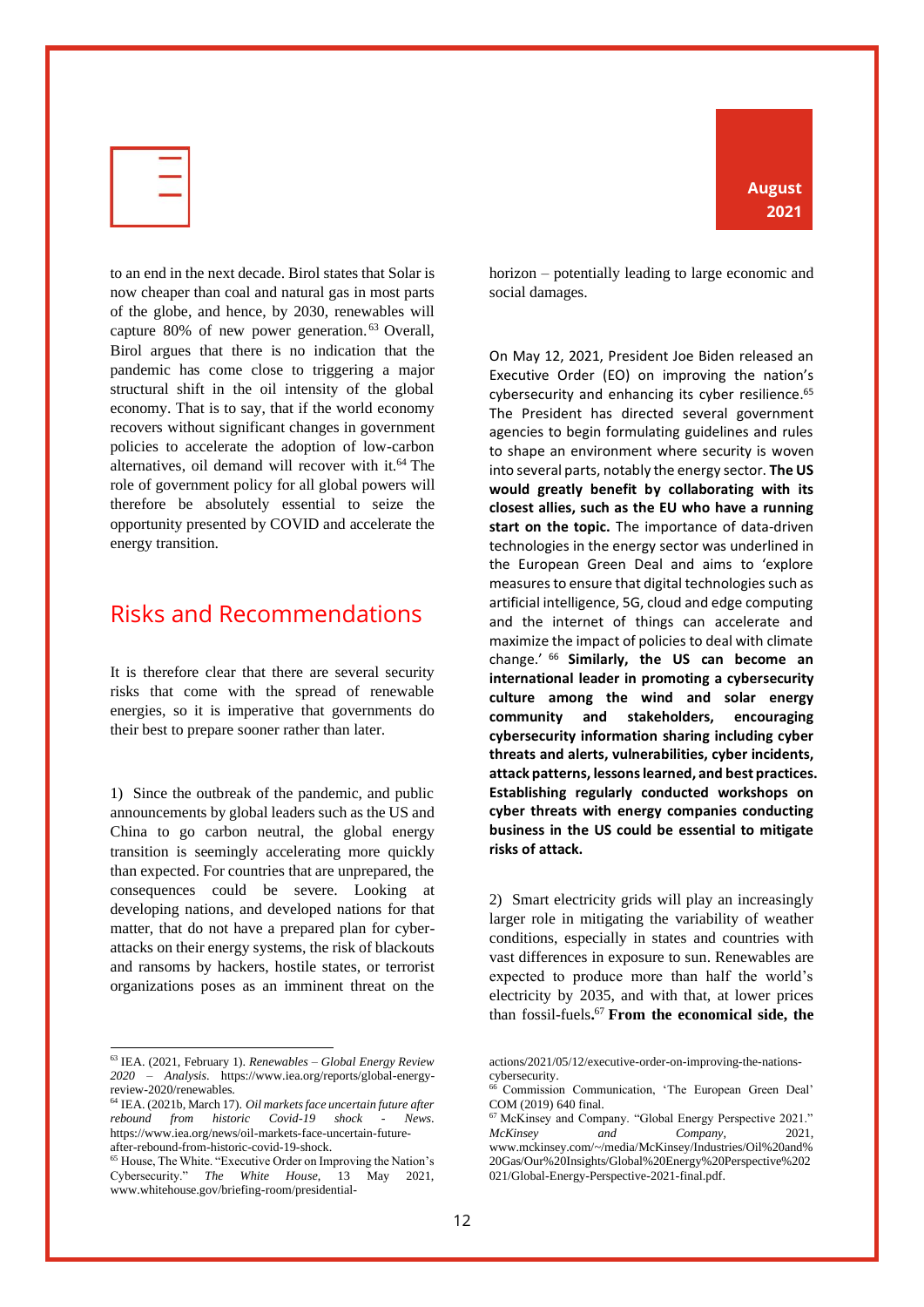

to an end in the next decade. Birol states that Solar is now cheaper than coal and natural gas in most parts of the globe, and hence, by 2030, renewables will capture 80% of new power generation. <sup>63</sup> Overall, Birol argues that there is no indication that the pandemic has come close to triggering a major structural shift in the oil intensity of the global economy. That is to say, that if the world economy recovers without significant changes in government policies to accelerate the adoption of low-carbon alternatives, oil demand will recover with it.<sup>64</sup> The role of government policy for all global powers will therefore be absolutely essential to seize the opportunity presented by COVID and accelerate the energy transition.

#### <span id="page-13-0"></span>Risks and Recommendations

It is therefore clear that there are several security risks that come with the spread of renewable energies, so it is imperative that governments do their best to prepare sooner rather than later.

1) Since the outbreak of the pandemic, and public announcements by global leaders such as the US and China to go carbon neutral, the global energy transition is seemingly accelerating more quickly than expected. For countries that are unprepared, the consequences could be severe. Looking at developing nations, and developed nations for that matter, that do not have a prepared plan for cyberattacks on their energy systems, the risk of blackouts and ransoms by hackers, hostile states, or terrorist organizations poses as an imminent threat on the

**August 2021**

horizon – potentially leading to large economic and social damages.

On May 12, 2021, President Joe Biden released an Executive Order (EO) on improving the nation's cybersecurity and enhancing its cyber resilience. 65 The President has directed several government agencies to begin formulating guidelines and rules to shape an environment where security is woven into several parts, notably the energy sector. **The US would greatly benefit by collaborating with its closest allies, such as the EU who have a running start on the topic.** The importance of data-driven technologies in the energy sector was underlined in the European Green Deal and aims to 'explore measures to ensure that digital technologies such as artificial intelligence, 5G, cloud and edge computing and the internet of things can accelerate and maximize the impact of policies to deal with climate change.' <sup>66</sup> **Similarly, the US can become an international leader in promoting a cybersecurity culture among the wind and solar energy community and stakeholders, encouraging cybersecurity information sharing including cyber threats and alerts, vulnerabilities, cyber incidents, attack patterns, lessons learned, and best practices. Establishing regularly conducted workshops on cyber threats with energy companies conducting business in the US could be essential to mitigate risks of attack.** 

2) Smart electricity grids will play an increasingly larger role in mitigating the variability of weather conditions, especially in states and countries with vast differences in exposure to sun. Renewables are expected to produce more than half the world's electricity by 2035, and with that, at lower prices than fossil-fuels**.** <sup>67</sup> **From the economical side, the** 

021/Global-Energy-Perspective-2021-final.pdf.

<sup>63</sup> IEA. (2021, February 1). *Renewables – Global Energy Review 2020 – Analysis*. https://www.iea.org/reports/global-energyreview-2020/renewables.

<sup>64</sup> IEA. (2021b, March 17). *Oil markets face uncertain future after rebound from historic Covid-19 shock - News*. https://www.iea.org/news/oil-markets-face-uncertain-futureafter-rebound-from-historic-covid-19-shock.

<sup>65</sup> House, The White. "Executive Order on Improving the Nation's Cybersecurity." *The White House*, 13 May 2021, www.whitehouse.gov/briefing-room/presidential-

actions/2021/05/12/executive-order-on-improving-the-nationscybersecurity.<br>  $^{66}$  Com

Commission Communication, 'The European Green Deal' COM (2019) 640 final.

<sup>67</sup> McKinsey and Company. "Global Energy Perspective 2021." *McKinsey and Company*, 2021, www.mckinsey.com/~/media/McKinsey/Industries/Oil%20and% 20Gas/Our%20Insights/Global%20Energy%20Perspective%202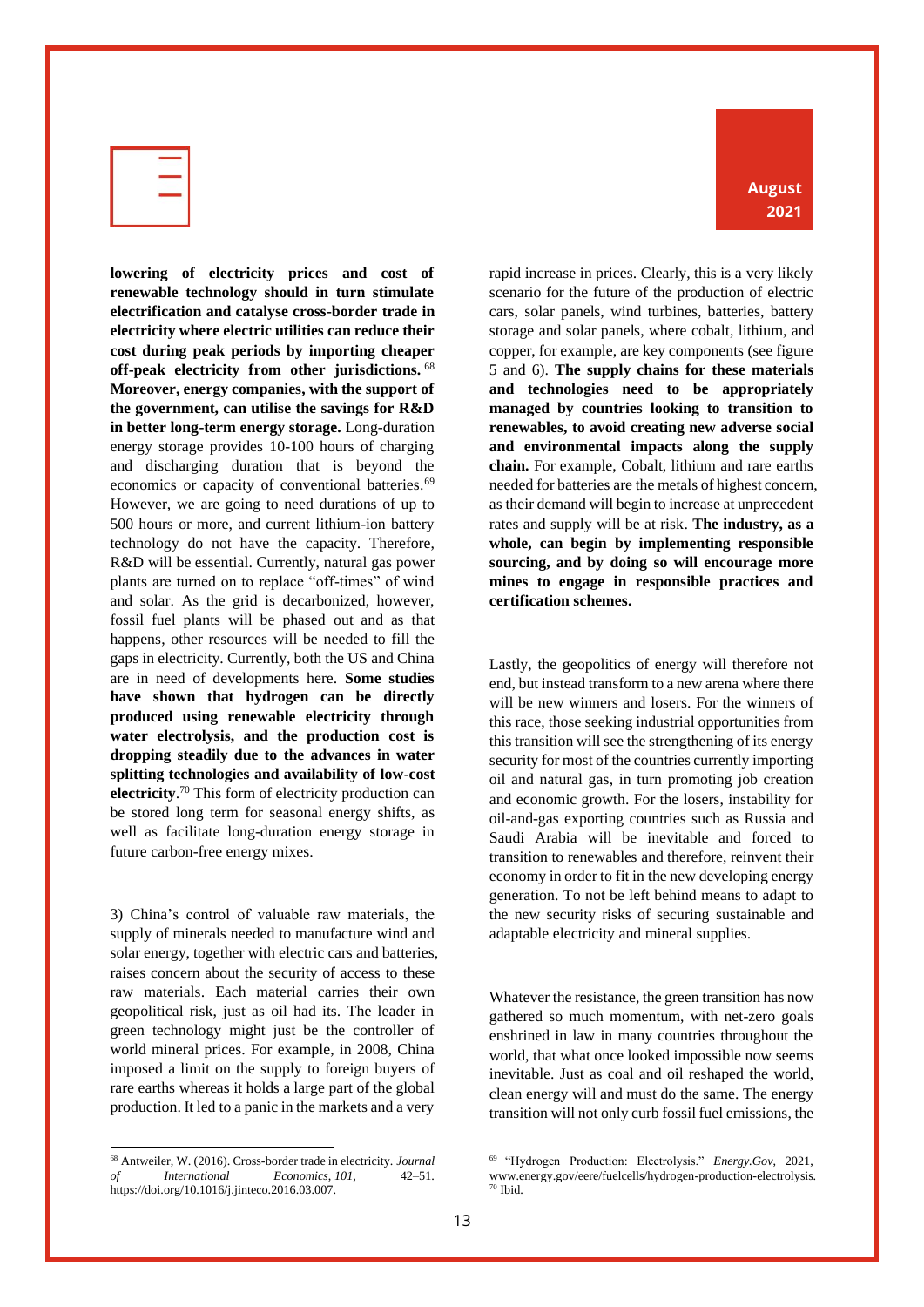

**lowering of electricity prices and cost of renewable technology should in turn stimulate electrification and catalyse cross-border trade in electricity where electric utilities can reduce their cost during peak periods by importing cheaper off-peak electricity from other jurisdictions.** <sup>68</sup> **Moreover, energy companies, with the support of the government, can utilise the savings for R&D in better long-term energy storage.** Long-duration energy storage provides 10-100 hours of charging and discharging duration that is beyond the economics or capacity of conventional batteries.<sup>69</sup> However, we are going to need durations of up to 500 hours or more, and current lithium-ion battery technology do not have the capacity. Therefore, R&D will be essential. Currently, natural gas power plants are turned on to replace "off-times" of wind and solar. As the grid is decarbonized, however, fossil fuel plants will be phased out and as that happens, other resources will be needed to fill the gaps in electricity. Currently, both the US and China are in need of developments here. **Some studies have shown that hydrogen can be directly produced using renewable electricity through water electrolysis, and the production cost is dropping steadily due to the advances in water splitting technologies and availability of low-cost electricity**. <sup>70</sup> This form of electricity production can be stored long term for seasonal energy shifts, as well as facilitate long-duration energy storage in future carbon-free energy mixes.

3) China's control of valuable raw materials, the supply of minerals needed to manufacture wind and solar energy, together with electric cars and batteries, raises concern about the security of access to these raw materials. Each material carries their own geopolitical risk, just as oil had its. The leader in green technology might just be the controller of world mineral prices. For example, in 2008, China imposed a limit on the supply to foreign buyers of rare earths whereas it holds a large part of the global production. It led to a panic in the markets and a very

rapid increase in prices. Clearly, this is a very likely scenario for the future of the production of electric cars, solar panels, wind turbines, batteries, battery storage and solar panels, where cobalt, lithium, and copper, for example, are key components (see figure 5 and 6). **The supply chains for these materials and technologies need to be appropriately managed by countries looking to transition to renewables, to avoid creating new adverse social and environmental impacts along the supply chain.** For example, Cobalt, lithium and rare earths needed for batteries are the metals of highest concern, as their demand will begin to increase at unprecedent rates and supply will be at risk. **The industry, as a whole, can begin by implementing responsible sourcing, and by doing so will encourage more mines to engage in responsible practices and certification schemes.**

Lastly, the geopolitics of energy will therefore not end, but instead transform to a new arena where there will be new winners and losers. For the winners of this race, those seeking industrial opportunities from this transition will see the strengthening of its energy security for most of the countries currently importing oil and natural gas, in turn promoting job creation and economic growth. For the losers, instability for oil-and-gas exporting countries such as Russia and Saudi Arabia will be inevitable and forced to transition to renewables and therefore, reinvent their economy in order to fit in the new developing energy generation. To not be left behind means to adapt to the new security risks of securing sustainable and adaptable electricity and mineral supplies.

Whatever the resistance, the green transition has now gathered so much momentum, with net-zero goals enshrined in law in many countries throughout the world, that what once looked impossible now seems inevitable. Just as coal and oil reshaped the world, clean energy will and must do the same. The energy transition will not only curb fossil fuel emissions, the

<sup>68</sup> Antweiler, W. (2016). Cross-border trade in electricity. *Journal of International Economics*, *101*, 42–51. https://doi.org/10.1016/j.jinteco.2016.03.007.

<sup>69</sup> "Hydrogen Production: Electrolysis." *Energy.Gov*, 2021, www.energy.gov/eere/fuelcells/hydrogen-production-electrolysis. <sup>70</sup> Ibid.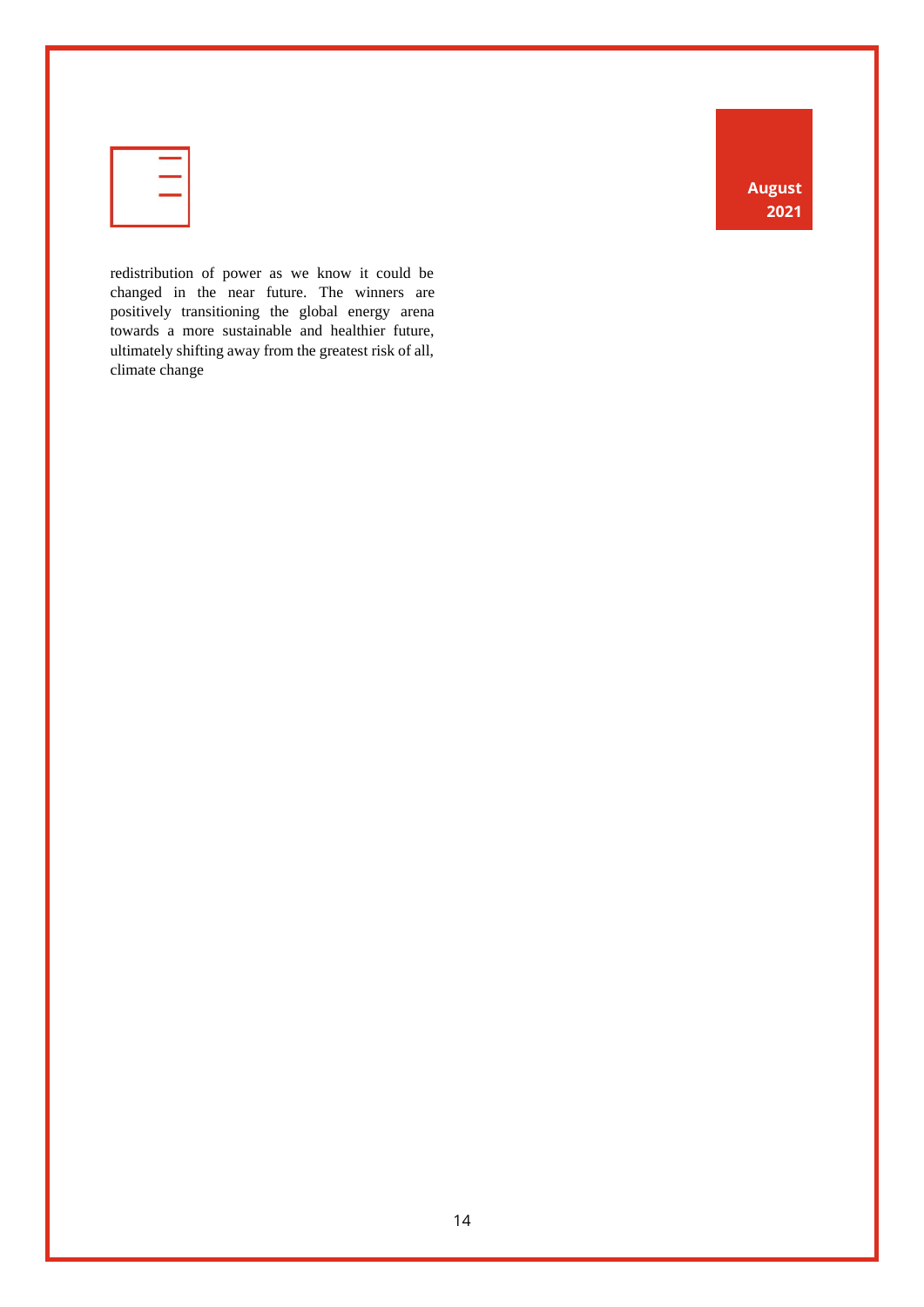| v<br>-- |  |  |
|---------|--|--|
|         |  |  |
|         |  |  |

redistribution of power as we know it could be changed in the near future. The winners are positively transitioning the global energy arena towards a more sustainable and healthier future, ultimately shifting away from the greatest risk of all, climate change

**August 2021**